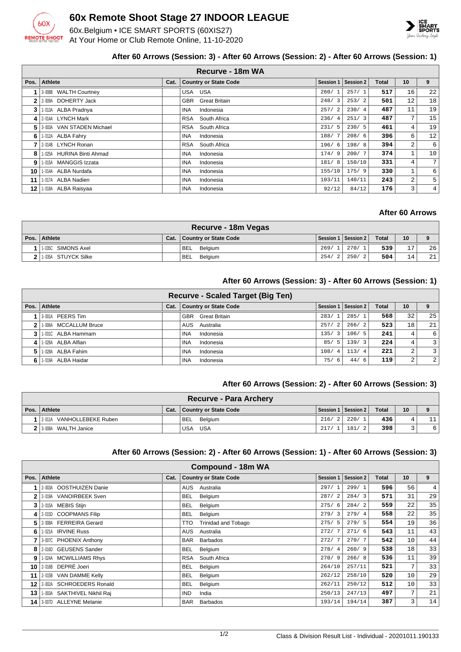

# **60x Remote Shoot Stage 27 INDOOR LEAGUE**

60x.Belgium • ICE SMART SPORTS (60XIS27) At Your Home or Club Remote Online, 11-10-2020



### **After 60 Arrows (Session: 3) - After 60 Arrows (Session: 2) - After 60 Arrows (Session: 1)**

|              | Recurve - 18m WA          |      |                                    |                        |           |       |    |    |  |  |
|--------------|---------------------------|------|------------------------------------|------------------------|-----------|-------|----|----|--|--|
| Pos.         | Athlete                   | Cat. | <b>Country or State Code</b>       | Session 1              | Session 2 | Total | 10 | 9  |  |  |
|              | 3-008B WALTH Courtney     |      | USA<br>USA                         | 260/                   | 257/1     | 517   | 16 | 22 |  |  |
| $\mathbf{2}$ | 2-009A DOHERTY Jack       |      | <b>GBR</b><br><b>Great Britain</b> | 248/3                  | 253/2     | 501   | 12 | 18 |  |  |
| 3            | 1-013A ALBA Pradnya       |      | <b>INA</b><br>Indonesia            | 257/<br>2              | 230/4     | 487   | 11 | 19 |  |  |
| 4            | 2-014A LYNCH Mark         |      | <b>RSA</b><br>South Africa         | 236/<br>$\overline{4}$ | 251/3     | 487   | 7  | 15 |  |  |
| 5            | 3-003A VAN STADEN Michael |      | <b>RSA</b><br>South Africa         | 231/5                  | 230/5     | 461   | 4  | 19 |  |  |
| 6            | 1-012A ALBA Fahry         |      | <b>INA</b><br>Indonesia            | 188/                   | 208/6     | 396   | 6  | 12 |  |  |
| 7            | 2-014B LYNCH Ronan        |      | <b>RSA</b><br>South Africa         | 196/6                  | 198/8     | 394   | 2  | 6  |  |  |
| 8            | 1-025A HURINA Binti Ahmad |      | <b>INA</b><br>Indonesia            | 174/9                  | 200/7     | 374   | 1  | 10 |  |  |
| 9            | 1-015A MANGGIS Izzata     |      | <b>INA</b><br>Indonesia            | 181/8                  | 150/10    | 331   | 4  | 7  |  |  |
| 10           | 1-014A ALBA Nurdafa       |      | <b>INA</b><br>Indonesia            | 155/10                 | 175/9     | 330   | 1  | 6  |  |  |
| 11           | 1-017A ALBA Nadien        |      | <b>INA</b><br>Indonesia            | 103/11                 | 140/11    | 243   | 2  | 5  |  |  |
| 12           | 1-018A ALBA Raisyaa       |      | <b>INA</b><br>Indonesia            | 92/12                  | 84/12     | 176   | 3  | 4  |  |  |

## **After 60 Arrows**

| Recurve - 18m Vegas    |      |                       |       |                     |              |    |    |  |
|------------------------|------|-----------------------|-------|---------------------|--------------|----|----|--|
| Pos. Athlete           | Cat. | Country or State Code |       | Session 1 Session 2 | <b>Total</b> | 10 |    |  |
| 1   1-035C SIMONS Axel |      | <b>BEL</b> Belaium    | 269/1 | 270/1               | 539          | 17 | 26 |  |
| 2 1-035A STUYCK Silke  |      | BEL.<br>Belgium       | 254/2 | 250/2               | 504          | 14 | 21 |  |

### **After 60 Arrows (Session: 3) - After 60 Arrows (Session: 1)**

|      |                       |      | <b>Recurve - Scaled Target (Big Ten)</b> |       |                       |              |    |                  |
|------|-----------------------|------|------------------------------------------|-------|-----------------------|--------------|----|------------------|
| Pos. | Athlete               | Cat. | <b>Country or State Code</b>             |       | Session 1   Session 2 | <b>Total</b> | 10 | 9                |
|      | 3-001A PEERS Tim      |      | <b>GBR</b> Great Britain                 | 283/1 | 285/1                 | 568          | 32 | 25               |
| 2    | 1-006A MCCALLUM Bruce |      | AUS Australia                            | 257/2 | 266/2                 | 523          | 18 | 21               |
|      | 1-031C ALBA Hammam    |      | Indonesia<br><b>INA</b>                  | 135/3 | 106/5                 | 241          | 4  | $6 \overline{6}$ |
| 4    | 1-026A ALBA Alfian    |      | Indonesia<br><b>INA</b>                  | 85/5  | 139/3                 | 224          | 4  | $\overline{3}$   |
| 51   | 1-028A ALBA Fahim     |      | Indonesia<br><b>INA</b>                  | 108/4 | 113/4                 | 221          | 2  | $\overline{3}$   |
| 6    | 1-019A ALBA Haidar    |      | Indonesia<br><b>INA</b>                  | 75/6  | 44/6                  | 119          | 2  | $\overline{2}$   |

### **After 60 Arrows (Session: 2) - After 60 Arrows (Session: 3)**

|                            |      | Recurve - Para Archery |       |                       |              |    |   |
|----------------------------|------|------------------------|-------|-----------------------|--------------|----|---|
| Pos. Athlete               | Cat. | Country or State Code  |       | Session 1   Session 2 | <b>Total</b> | 10 |   |
| 1 2011A VANHOLLEBEKE Ruben |      | <b>BEL</b> Belgium     | 216/2 | 220/1                 | 436'         |    |   |
| 2 3-008A WALTH Janice      |      | USA<br>USA             | 217/  | 181/                  | 398          |    | 6 |

#### **After 60 Arrows (Session: 2) - After 60 Arrows (Session: 1) - After 60 Arrows (Session: 3)**

|      | Compound - 18m WA           |      |                                   |                  |                  |       |    |                |  |  |
|------|-----------------------------|------|-----------------------------------|------------------|------------------|-------|----|----------------|--|--|
| Pos. | <b>Athlete</b>              | Cat. | <b>Country or State Code</b>      | <b>Session 1</b> | <b>Session 2</b> | Total | 10 | 9              |  |  |
|      | 2-003A OOSTHUIZEN Danie     |      | <b>AUS</b><br>Australia           | 297/1            | 299/1            | 596   | 56 | $\overline{4}$ |  |  |
| 2    | 2-019A VANOIRBEEK Sven      |      | Belgium<br><b>BEL</b>             | 287/2            | 284/3            | 571   | 31 | 29             |  |  |
| 3    | 2-015A MEBIS Stijn          |      | Belgium<br><b>BEL</b>             | 275/6            | 284/2            | 559   | 22 | 35             |  |  |
| 4    | 2-015D COOPMANS Filip       |      | <b>BEL</b><br>Belgium             | 279/3            | 279/4            | 558   | 22 | 35             |  |  |
| 5    | 2-008A FERREIRA Gerard      |      | <b>Trinidad and Tobago</b><br>TTO | 275/5            | 279/5            | 554   | 19 | 36             |  |  |
| 6    | 1-021A IRVINE Russ          |      | AUS<br>Australia                  | 272/7            | 271/6            | 543   | 11 | 43             |  |  |
|      | 3-007C PHOENIX Anthony      |      | <b>BAR</b><br><b>Barbados</b>     | 272/7            | 270/7            | 542   | 10 | 44             |  |  |
| 8    | 2-016D GEUSENS Sander       |      | <b>BEL</b><br>Belgium             | 278/4            | 260/9            | 538   | 18 | 33             |  |  |
| 9    | 1-024A MCWILLIAMS Rhys      |      | South Africa<br><b>RSA</b>        | 270/9            | 266/8            | 536   | 11 | 39             |  |  |
| 10   | 2-016B DEPRÉ Joeri          |      | <b>BEL</b><br>Belgium             | 264/10           | 257/11           | 521   | 7  | 33             |  |  |
| 11   | 2-015B VAN DAMME Kelly      |      | <b>BEL</b><br>Belgium             | 262/12           | 258/10           | 520   | 10 | 29             |  |  |
| 12   | 2-002A SCHROEDERS Ronald    |      | Belgium<br><b>BEL</b>             | 262/11           | 250/12           | 512   | 10 | 33             |  |  |
| 13   | 1-003A SAKTHIVEL Nikhil Raj |      | <b>IND</b><br>India               | 250/13           | 247/13           | 497   | 7  | 21             |  |  |
| 14 I | 3-007D ALLEYNE Melanie      |      | <b>BAR</b><br><b>Barbados</b>     | 193/14           | 194/14           | 387   | 3  | 14             |  |  |